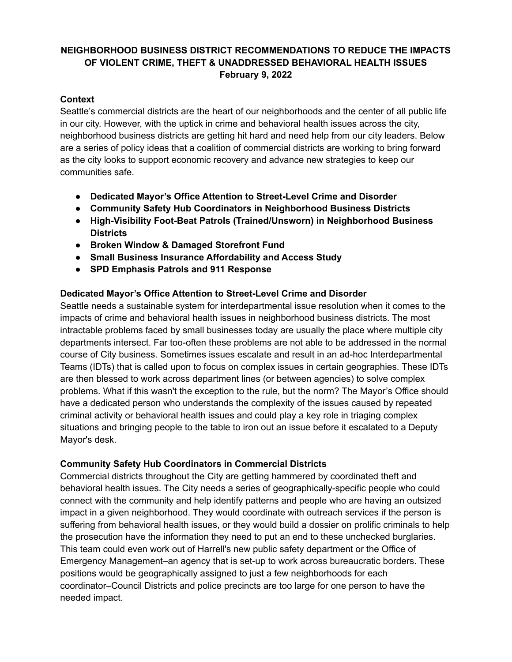# **NEIGHBORHOOD BUSINESS DISTRICT RECOMMENDATIONS TO REDUCE THE IMPACTS OF VIOLENT CRIME, THEFT & UNADDRESSED BEHAVIORAL HEALTH ISSUES February 9, 2022**

### **Context**

Seattle's commercial districts are the heart of our neighborhoods and the center of all public life in our city. However, with the uptick in crime and behavioral health issues across the city, neighborhood business districts are getting hit hard and need help from our city leaders. Below are a series of policy ideas that a coalition of commercial districts are working to bring forward as the city looks to support economic recovery and advance new strategies to keep our communities safe.

- **● Dedicated Mayor's Office Attention to Street-Level Crime and Disorder**
- **● Community Safety Hub Coordinators in Neighborhood Business Districts**
- **● High-Visibility Foot-Beat Patrols (Trained/Unsworn) in Neighborhood Business Districts**
- **● Broken Window & Damaged Storefront Fund**
- **● Small Business Insurance Affordability and Access Study**
- **● SPD Emphasis Patrols and 911 Response**

#### **Dedicated Mayor's Office Attention to Street-Level Crime and Disorder**

Seattle needs a sustainable system for interdepartmental issue resolution when it comes to the impacts of crime and behavioral health issues in neighborhood business districts. The most intractable problems faced by small businesses today are usually the place where multiple city departments intersect. Far too-often these problems are not able to be addressed in the normal course of City business. Sometimes issues escalate and result in an ad-hoc Interdepartmental Teams (IDTs) that is called upon to focus on complex issues in certain geographies. These IDTs are then blessed to work across department lines (or between agencies) to solve complex problems. What if this wasn't the exception to the rule, but the norm? The Mayor's Office should have a dedicated person who understands the complexity of the issues caused by repeated criminal activity or behavioral health issues and could play a key role in triaging complex situations and bringing people to the table to iron out an issue before it escalated to a Deputy Mayor's desk.

#### **Community Safety Hub Coordinators in Commercial Districts**

Commercial districts throughout the City are getting hammered by coordinated theft and behavioral health issues. The City needs a series of geographically-specific people who could connect with the community and help identify patterns and people who are having an outsized impact in a given neighborhood. They would coordinate with outreach services if the person is suffering from behavioral health issues, or they would build a dossier on prolific criminals to help the prosecution have the information they need to put an end to these unchecked burglaries. This team could even work out of Harrell's new public safety department or the Office of Emergency Management–an agency that is set-up to work across bureaucratic borders. These positions would be geographically assigned to just a few neighborhoods for each coordinator–Council Districts and police precincts are too large for one person to have the needed impact.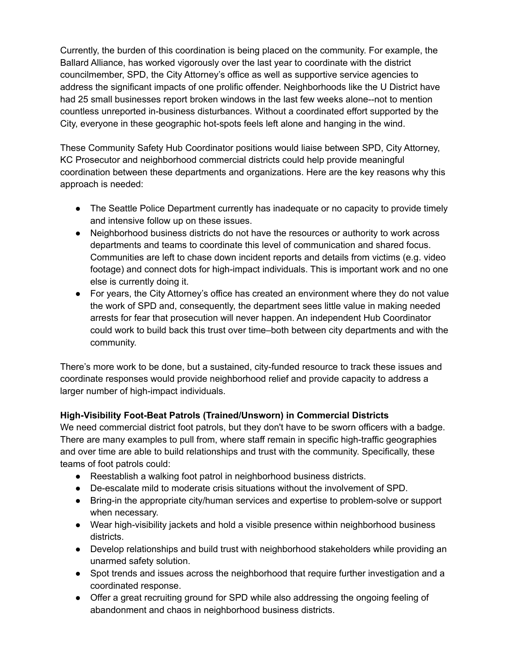Currently, the burden of this coordination is being placed on the community. For example, the Ballard Alliance, has worked vigorously over the last year to coordinate with the district councilmember, SPD, the City Attorney's office as well as supportive service agencies to address the significant impacts of one prolific offender. Neighborhoods like the U District have had 25 small businesses report broken windows in the last few weeks alone--not to mention countless unreported in-business disturbances. Without a coordinated effort supported by the City, everyone in these geographic hot-spots feels left alone and hanging in the wind.

These Community Safety Hub Coordinator positions would liaise between SPD, City Attorney, KC Prosecutor and neighborhood commercial districts could help provide meaningful coordination between these departments and organizations. Here are the key reasons why this approach is needed:

- The Seattle Police Department currently has inadequate or no capacity to provide timely and intensive follow up on these issues.
- Neighborhood business districts do not have the resources or authority to work across departments and teams to coordinate this level of communication and shared focus. Communities are left to chase down incident reports and details from victims (e.g. video footage) and connect dots for high-impact individuals. This is important work and no one else is currently doing it.
- For years, the City Attorney's office has created an environment where they do not value the work of SPD and, consequently, the department sees little value in making needed arrests for fear that prosecution will never happen. An independent Hub Coordinator could work to build back this trust over time–both between city departments and with the community.

There's more work to be done, but a sustained, city-funded resource to track these issues and coordinate responses would provide neighborhood relief and provide capacity to address a larger number of high-impact individuals.

# **High-Visibility Foot-Beat Patrols (Trained/Unsworn) in Commercial Districts**

We need commercial district foot patrols, but they don't have to be sworn officers with a badge. There are many examples to pull from, where staff remain in specific high-traffic geographies and over time are able to build relationships and trust with the community. Specifically, these teams of foot patrols could:

- Reestablish a walking foot patrol in neighborhood business districts.
- De-escalate mild to moderate crisis situations without the involvement of SPD.
- Bring-in the appropriate city/human services and expertise to problem-solve or support when necessary.
- Wear high-visibility jackets and hold a visible presence within neighborhood business districts.
- Develop relationships and build trust with neighborhood stakeholders while providing an unarmed safety solution.
- Spot trends and issues across the neighborhood that require further investigation and a coordinated response.
- Offer a great recruiting ground for SPD while also addressing the ongoing feeling of abandonment and chaos in neighborhood business districts.